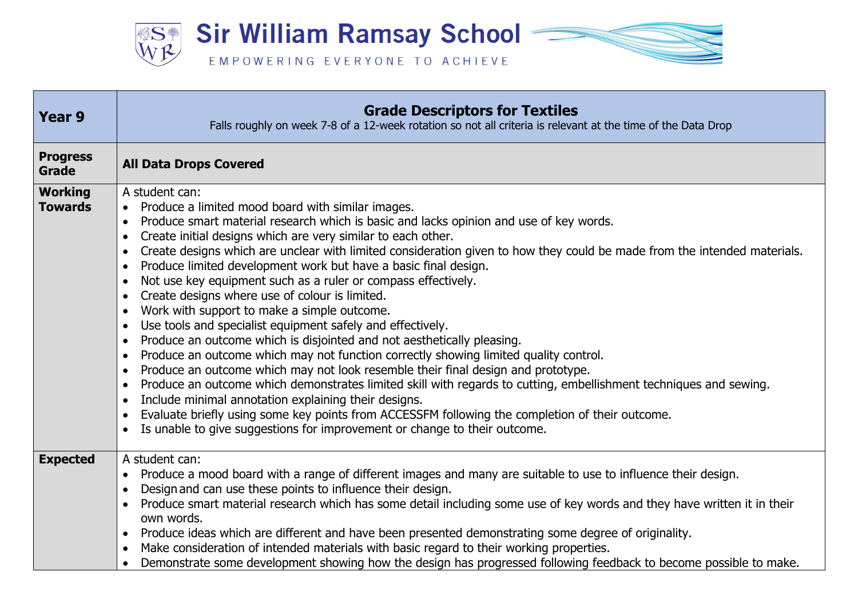

| <b>Year 9</b>                    | <b>Grade Descriptors for Textiles</b><br>Falls roughly on week 7-8 of a 12-week rotation so not all criteria is relevant at the time of the Data Drop                                                                                                                                                                                                                                                                                                                                                                                                                                                                                                                                                                                                                                                                                                                                                                                                                                                                                                                                                                                                                                                                                                                                                                                                                                                                                                                              |
|----------------------------------|------------------------------------------------------------------------------------------------------------------------------------------------------------------------------------------------------------------------------------------------------------------------------------------------------------------------------------------------------------------------------------------------------------------------------------------------------------------------------------------------------------------------------------------------------------------------------------------------------------------------------------------------------------------------------------------------------------------------------------------------------------------------------------------------------------------------------------------------------------------------------------------------------------------------------------------------------------------------------------------------------------------------------------------------------------------------------------------------------------------------------------------------------------------------------------------------------------------------------------------------------------------------------------------------------------------------------------------------------------------------------------------------------------------------------------------------------------------------------------|
| <b>Progress</b><br><b>Grade</b>  | <b>All Data Drops Covered</b>                                                                                                                                                                                                                                                                                                                                                                                                                                                                                                                                                                                                                                                                                                                                                                                                                                                                                                                                                                                                                                                                                                                                                                                                                                                                                                                                                                                                                                                      |
| <b>Working</b><br><b>Towards</b> | A student can:<br>Produce a limited mood board with similar images.<br>$\bullet$<br>Produce smart material research which is basic and lacks opinion and use of key words.<br>$\bullet$<br>Create initial designs which are very similar to each other.<br>$\bullet$<br>Create designs which are unclear with limited consideration given to how they could be made from the intended materials.<br>$\bullet$<br>Produce limited development work but have a basic final design.<br>$\bullet$<br>Not use key equipment such as a ruler or compass effectively.<br>$\bullet$<br>Create designs where use of colour is limited.<br>$\bullet$<br>Work with support to make a simple outcome.<br>$\bullet$<br>Use tools and specialist equipment safely and effectively.<br>$\bullet$<br>Produce an outcome which is disjointed and not aesthetically pleasing.<br>$\bullet$<br>Produce an outcome which may not function correctly showing limited quality control.<br>$\bullet$<br>Produce an outcome which may not look resemble their final design and prototype.<br>$\bullet$<br>Produce an outcome which demonstrates limited skill with regards to cutting, embellishment techniques and sewing.<br>$\bullet$<br>Include minimal annotation explaining their designs.<br>$\bullet$<br>Evaluate briefly using some key points from ACCESSFM following the completion of their outcome.<br>$\bullet$<br>Is unable to give suggestions for improvement or change to their outcome. |
| <b>Expected</b>                  | A student can:<br>Produce a mood board with a range of different images and many are suitable to use to influence their design.<br>Design and can use these points to influence their design.<br>$\bullet$<br>Produce smart material research which has some detail including some use of key words and they have written it in their<br>own words.<br>Produce ideas which are different and have been presented demonstrating some degree of originality.<br>$\bullet$<br>Make consideration of intended materials with basic regard to their working properties.<br>$\bullet$<br>Demonstrate some development showing how the design has progressed following feedback to become possible to make.                                                                                                                                                                                                                                                                                                                                                                                                                                                                                                                                                                                                                                                                                                                                                                               |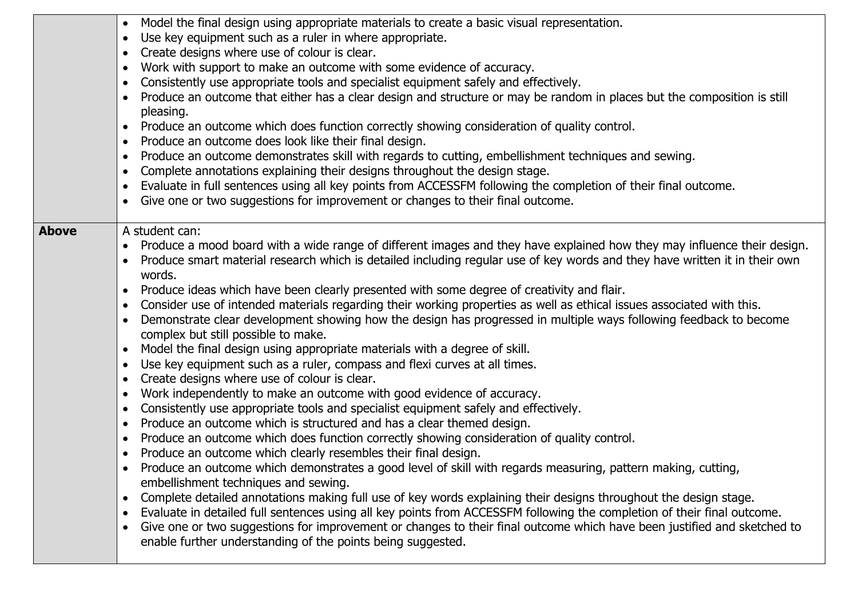|              | Model the final design using appropriate materials to create a basic visual representation.                                          |
|--------------|--------------------------------------------------------------------------------------------------------------------------------------|
|              | Use key equipment such as a ruler in where appropriate.<br>$\bullet$                                                                 |
|              | Create designs where use of colour is clear.<br>$\bullet$                                                                            |
|              | Work with support to make an outcome with some evidence of accuracy.<br>$\bullet$                                                    |
|              | Consistently use appropriate tools and specialist equipment safely and effectively.<br>$\bullet$                                     |
|              | Produce an outcome that either has a clear design and structure or may be random in places but the composition is still<br>$\bullet$ |
|              | pleasing.                                                                                                                            |
|              | Produce an outcome which does function correctly showing consideration of quality control.<br>$\bullet$                              |
|              | Produce an outcome does look like their final design.<br>$\bullet$                                                                   |
|              | Produce an outcome demonstrates skill with regards to cutting, embellishment techniques and sewing.<br>$\bullet$                     |
|              | Complete annotations explaining their designs throughout the design stage.<br>$\bullet$                                              |
|              | Evaluate in full sentences using all key points from ACCESSFM following the completion of their final outcome.<br>$\bullet$          |
|              | Give one or two suggestions for improvement or changes to their final outcome.<br>$\bullet$                                          |
|              |                                                                                                                                      |
| <b>Above</b> | A student can:                                                                                                                       |
|              | Produce a mood board with a wide range of different images and they have explained how they may influence their design.<br>$\bullet$ |
|              | Produce smart material research which is detailed including regular use of key words and they have written it in their own           |
|              | words.                                                                                                                               |
|              | Produce ideas which have been clearly presented with some degree of creativity and flair.<br>$\bullet$                               |
|              | Consider use of intended materials regarding their working properties as well as ethical issues associated with this.<br>$\bullet$   |
|              | Demonstrate clear development showing how the design has progressed in multiple ways following feedback to become<br>$\bullet$       |
|              | complex but still possible to make.                                                                                                  |
|              | Model the final design using appropriate materials with a degree of skill.                                                           |
|              | $\bullet$                                                                                                                            |
|              | Use key equipment such as a ruler, compass and flexi curves at all times.<br>$\bullet$                                               |
|              | Create designs where use of colour is clear.<br>$\bullet$                                                                            |
|              | Work independently to make an outcome with good evidence of accuracy.<br>$\bullet$                                                   |
|              | Consistently use appropriate tools and specialist equipment safely and effectively.<br>$\bullet$                                     |
|              | Produce an outcome which is structured and has a clear themed design.<br>$\bullet$                                                   |
|              | Produce an outcome which does function correctly showing consideration of quality control.<br>$\bullet$                              |
|              | Produce an outcome which clearly resembles their final design.                                                                       |
|              | Produce an outcome which demonstrates a good level of skill with regards measuring, pattern making, cutting,<br>$\bullet$            |
|              | embellishment techniques and sewing.                                                                                                 |
|              | Complete detailed annotations making full use of key words explaining their designs throughout the design stage.<br>$\bullet$        |
|              | Evaluate in detailed full sentences using all key points from ACCESSFM following the completion of their final outcome.<br>$\bullet$ |
|              | Give one or two suggestions for improvement or changes to their final outcome which have been justified and sketched to<br>$\bullet$ |
|              | enable further understanding of the points being suggested.                                                                          |
|              |                                                                                                                                      |